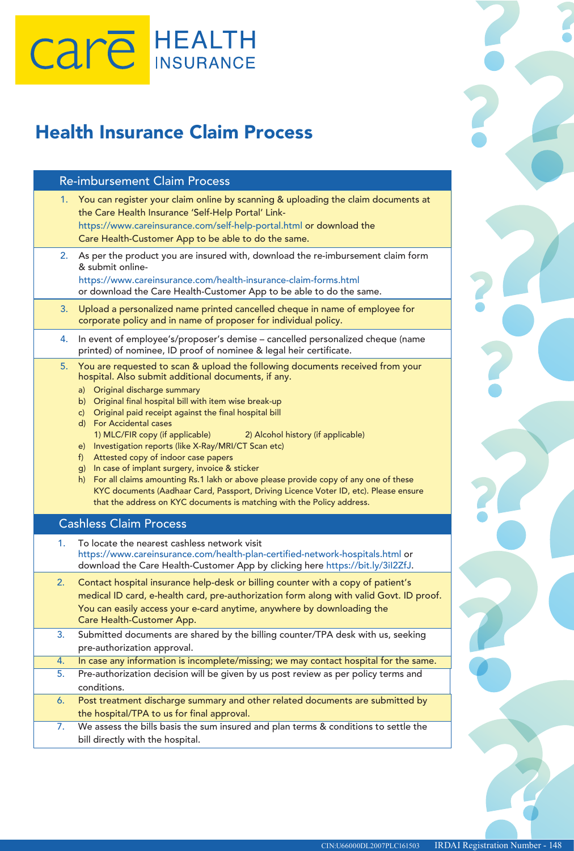# Care HEALTH

## Health Insurance Claim Process

| <b>Re-imbursement Claim Process</b>                                                                                                                                                                                                                                                                                                                                                                                                                                                                                                                                                                                                                                                                                                                                                                                       |
|---------------------------------------------------------------------------------------------------------------------------------------------------------------------------------------------------------------------------------------------------------------------------------------------------------------------------------------------------------------------------------------------------------------------------------------------------------------------------------------------------------------------------------------------------------------------------------------------------------------------------------------------------------------------------------------------------------------------------------------------------------------------------------------------------------------------------|
| 1. You can register your claim online by scanning & uploading the claim documents at<br>the Care Health Insurance 'Self-Help Portal' Link-<br>https://www.careinsurance.com/self-help-portal.html or download the<br>Care Health-Customer App to be able to do the same.                                                                                                                                                                                                                                                                                                                                                                                                                                                                                                                                                  |
| As per the product you are insured with, download the re-imbursement claim form<br>2.<br>& submit online-<br>https://www.careinsurance.com/health-insurance-claim-forms.html<br>or download the Care Health-Customer App to be able to do the same.                                                                                                                                                                                                                                                                                                                                                                                                                                                                                                                                                                       |
| Upload a personalized name printed cancelled cheque in name of employee for<br>3.<br>corporate policy and in name of proposer for individual policy.                                                                                                                                                                                                                                                                                                                                                                                                                                                                                                                                                                                                                                                                      |
| In event of employee's/proposer's demise - cancelled personalized cheque (name<br>4.<br>printed) of nominee, ID proof of nominee & legal heir certificate.                                                                                                                                                                                                                                                                                                                                                                                                                                                                                                                                                                                                                                                                |
| You are requested to scan & upload the following documents received from your<br>5.<br>hospital. Also submit additional documents, if any.<br>a) Original discharge summary<br>b) Original final hospital bill with item wise break-up<br>c) Original paid receipt against the final hospital bill<br>d) For Accidental cases<br>1) MLC/FIR copy (if applicable)<br>2) Alcohol history (if applicable)<br>e) Investigation reports (like X-Ray/MRI/CT Scan etc)<br>f) Attested copy of indoor case papers<br>g) In case of implant surgery, invoice & sticker<br>h) For all claims amounting Rs.1 lakh or above please provide copy of any one of these<br>KYC documents (Aadhaar Card, Passport, Driving Licence Voter ID, etc). Please ensure<br>that the address on KYC documents is matching with the Policy address. |
| <b>Cashless Claim Process</b>                                                                                                                                                                                                                                                                                                                                                                                                                                                                                                                                                                                                                                                                                                                                                                                             |
| To locate the nearest cashless network visit<br>1.<br>https://www.careinsurance.com/health-plan-certified-network-hospitals.html or<br>download the Care Health-Customer App by clicking here https://bit.ly/3il2ZfJ.                                                                                                                                                                                                                                                                                                                                                                                                                                                                                                                                                                                                     |
| Contact hospital insurance help-desk or billing counter with a copy of patient's<br>2.<br>medical ID card, e-health card, pre-authorization form along with valid Govt. ID proof.<br>You can easily access your e-card anytime, anywhere by downloading the<br>Care Health-Customer App.                                                                                                                                                                                                                                                                                                                                                                                                                                                                                                                                  |
| Submitted documents are shared by the billing counter/TPA desk with us, seeking<br>3.<br>pre-authorization approval.                                                                                                                                                                                                                                                                                                                                                                                                                                                                                                                                                                                                                                                                                                      |
| In case any information is incomplete/missing; we may contact hospital for the same.<br>4.                                                                                                                                                                                                                                                                                                                                                                                                                                                                                                                                                                                                                                                                                                                                |
| Pre-authorization decision will be given by us post review as per policy terms and<br>5.<br>conditions.                                                                                                                                                                                                                                                                                                                                                                                                                                                                                                                                                                                                                                                                                                                   |
| Post treatment discharge summary and other related documents are submitted by<br>6.<br>the hospital/TPA to us for final approval.                                                                                                                                                                                                                                                                                                                                                                                                                                                                                                                                                                                                                                                                                         |
| We assess the bills basis the sum insured and plan terms & conditions to settle the<br>7.                                                                                                                                                                                                                                                                                                                                                                                                                                                                                                                                                                                                                                                                                                                                 |